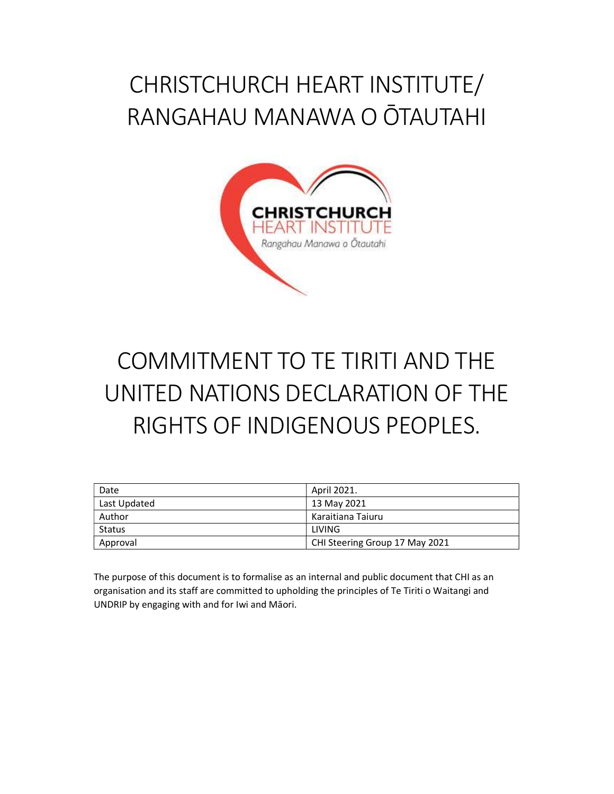# CHRISTCHURCH HEART INSTITUTE/ RANGAHAU MANAWA O ŌTAUTAHI



# COMMITMENT TO TE TIRITI AND THE UNITED NATIONS DECLARATION OF THE RIGHTS OF INDIGENOUS PEOPLES.

| Date         | April 2021.                    |
|--------------|--------------------------------|
| Last Updated | 13 May 2021                    |
| Author       | Karaitiana Taiuru              |
| Status       | LIVING                         |
| Approval     | CHI Steering Group 17 May 2021 |

The purpose of this document is to formalise as an internal and public document that CHI as an organisation and its staff are committed to upholding the principles of Te Tiriti o Waitangi and UNDRIP by engaging with and for Iwi and Māori.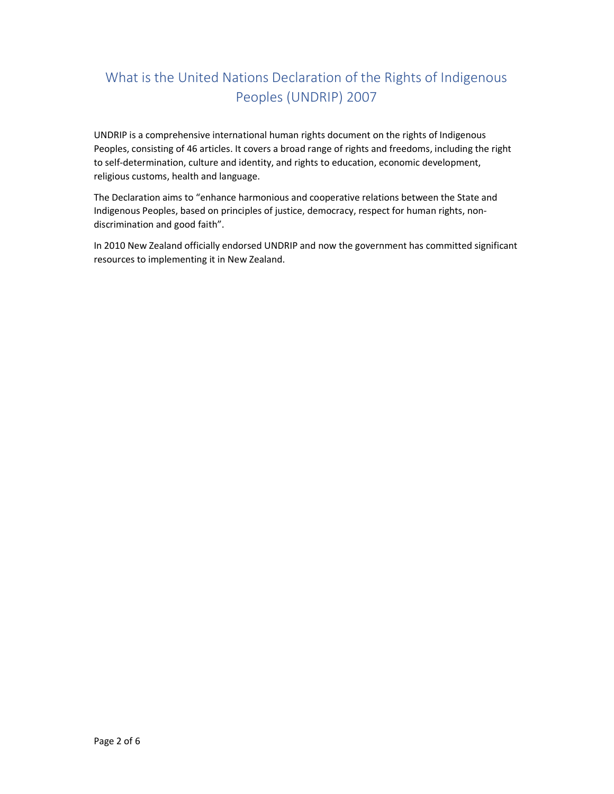## What is the United Nations Declaration of the Rights of Indigenous Peoples (UNDRIP) 2007

UNDRIP is a comprehensive international human rights document on the rights of Indigenous Peoples, consisting of 46 articles. It covers a broad range of rights and freedoms, including the right to self-determination, culture and identity, and rights to education, economic development, religious customs, health and language.

The Declaration aims to "enhance harmonious and cooperative relations between the State and Indigenous Peoples, based on principles of justice, democracy, respect for human rights, nondiscrimination and good faith".

In 2010 New Zealand officially endorsed UNDRIP and now the government has committed significant resources to implementing it in New Zealand.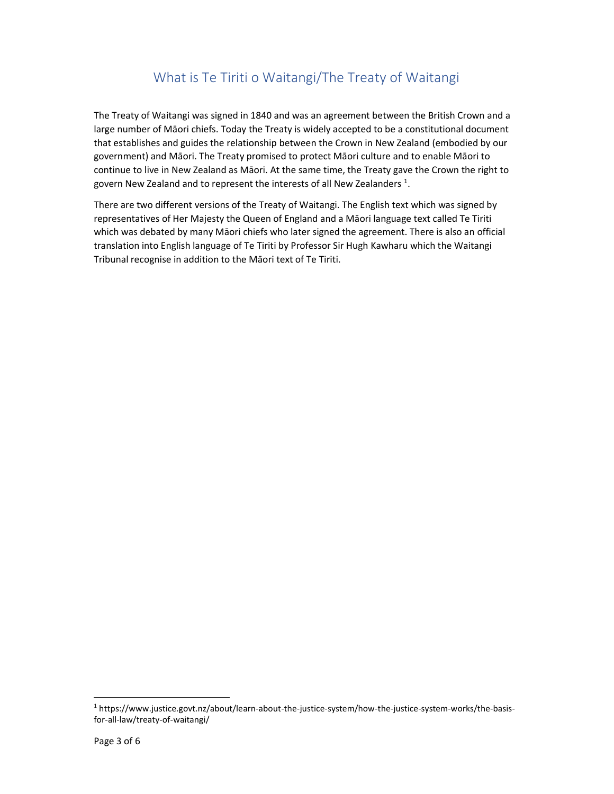## What is Te Tiriti o Waitangi/The Treaty of Waitangi

The Treaty of Waitangi was signed in 1840 and was an agreement between the British Crown and a large number of Māori chiefs. Today the Treaty is widely accepted to be a constitutional document that establishes and guides the relationship between the Crown in New Zealand (embodied by our government) and Māori. The Treaty promised to protect Māori culture and to enable Māori to continue to live in New Zealand as Māori. At the same time, the Treaty gave the Crown the right to govern New Zealand and to represent the interests of all New Zealanders  $^1$ .

There are two different versions of the Treaty of Waitangi. The English text which was signed by representatives of Her Majesty the Queen of England and a Māori language text called Te Tiriti which was debated by many Māori chiefs who later signed the agreement. There is also an official translation into English language of Te Tiriti by Professor Sir Hugh Kawharu which the Waitangi Tribunal recognise in addition to the Māori text of Te Tiriti.

1

<sup>1</sup> https://www.justice.govt.nz/about/learn-about-the-justice-system/how-the-justice-system-works/the-basisfor-all-law/treaty-of-waitangi/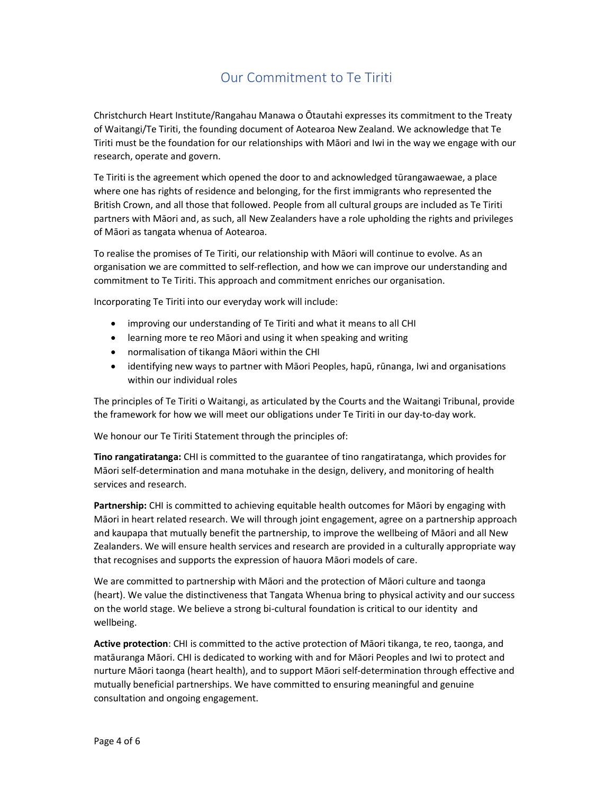## Our Commitment to Te Tiriti

Christchurch Heart Institute/Rangahau Manawa o Ōtautahi expresses its commitment to the Treaty of Waitangi/Te Tiriti, the founding document of Aotearoa New Zealand. We acknowledge that Te Tiriti must be the foundation for our relationships with Māori and Iwi in the way we engage with our research, operate and govern.

Te Tiriti is the agreement which opened the door to and acknowledged tūrangawaewae, a place where one has rights of residence and belonging, for the first immigrants who represented the British Crown, and all those that followed. People from all cultural groups are included as Te Tiriti partners with Māori and, as such, all New Zealanders have a role upholding the rights and privileges of Māori as tangata whenua of Aotearoa.

To realise the promises of Te Tiriti, our relationship with Māori will continue to evolve. As an organisation we are committed to self-reflection, and how we can improve our understanding and commitment to Te Tiriti. This approach and commitment enriches our organisation.

Incorporating Te Tiriti into our everyday work will include:

- improving our understanding of Te Tiriti and what it means to all CHI
- learning more te reo Māori and using it when speaking and writing
- normalisation of tikanga Māori within the CHI
- identifying new ways to partner with Māori Peoples, hapū, rūnanga, Iwi and organisations within our individual roles

The principles of Te Tiriti o Waitangi, as articulated by the Courts and the Waitangi Tribunal, provide the framework for how we will meet our obligations under Te Tiriti in our day-to-day work.

We honour our Te Tiriti Statement through the principles of:

Tino rangatiratanga: CHI is committed to the guarantee of tino rangatiratanga, which provides for Māori self-determination and mana motuhake in the design, delivery, and monitoring of health services and research.

Partnership: CHI is committed to achieving equitable health outcomes for Māori by engaging with Māori in heart related research. We will through joint engagement, agree on a partnership approach and kaupapa that mutually benefit the partnership, to improve the wellbeing of Māori and all New Zealanders. We will ensure health services and research are provided in a culturally appropriate way that recognises and supports the expression of hauora Māori models of care.

We are committed to partnership with Māori and the protection of Māori culture and taonga (heart). We value the distinctiveness that Tangata Whenua bring to physical activity and our success on the world stage. We believe a strong bi-cultural foundation is critical to our identity  and wellbeing.  

Active protection: CHI is committed to the active protection of Māori tikanga, te reo, taonga, and matāuranga Māori. CHI is dedicated to working with and for Māori Peoples and Iwi to protect and nurture Māori taonga (heart health), and to support Māori self-determination through effective and mutually beneficial partnerships. We have committed to ensuring meaningful and genuine consultation and ongoing engagement.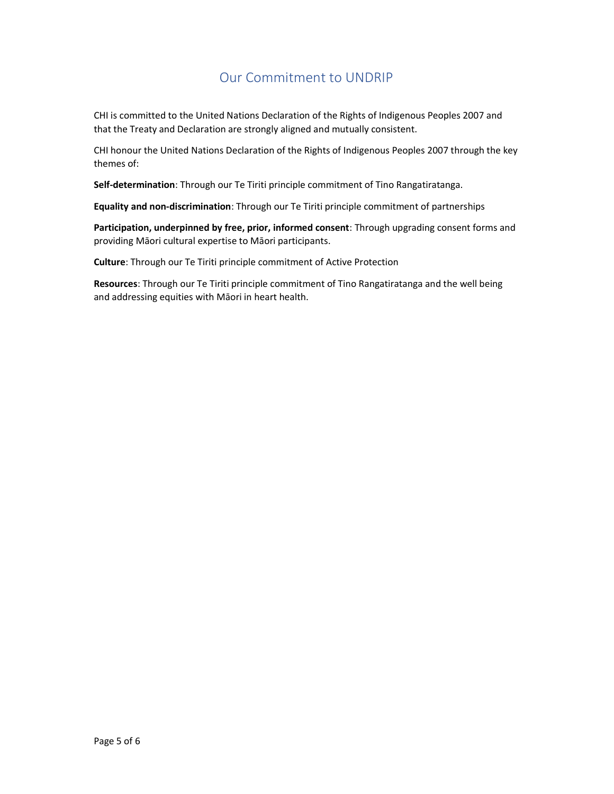### Our Commitment to UNDRIP

CHI is committed to the United Nations Declaration of the Rights of Indigenous Peoples 2007 and that the Treaty and Declaration are strongly aligned and mutually consistent.

CHI honour the United Nations Declaration of the Rights of Indigenous Peoples 2007 through the key themes of:  

Self-determination: Through our Te Tiriti principle commitment of Tino Rangatiratanga.

Equality and non-discrimination: Through our Te Tiriti principle commitment of partnerships

Participation, underpinned by free, prior, informed consent: Through upgrading consent forms and providing Māori cultural expertise to Māori participants.

Culture: Through our Te Tiriti principle commitment of Active Protection

Resources: Through our Te Tiriti principle commitment of Tino Rangatiratanga and the well being and addressing equities with Māori in heart health.